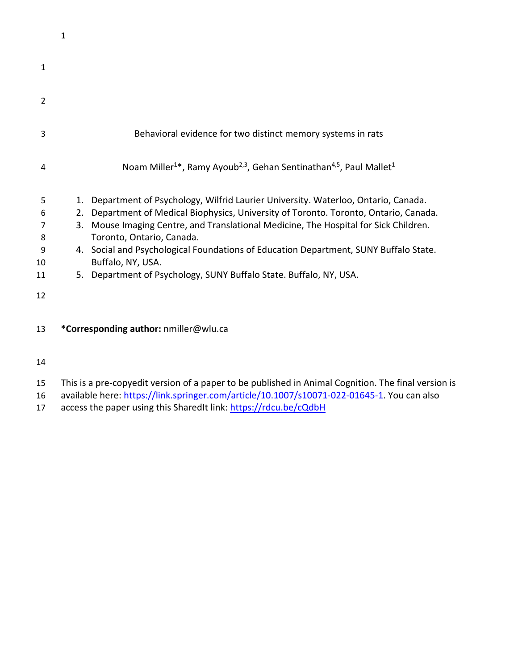|                | 1        |                                                                                                                                                                        |
|----------------|----------|------------------------------------------------------------------------------------------------------------------------------------------------------------------------|
| $\mathbf{1}$   |          |                                                                                                                                                                        |
| $\overline{2}$ |          |                                                                                                                                                                        |
| 3              |          | Behavioral evidence for two distinct memory systems in rats                                                                                                            |
| 4              |          | Noam Miller <sup>1*</sup> , Ramy Ayoub <sup>2,3</sup> , Gehan Sentinathan <sup>4,5</sup> , Paul Mallet <sup>1</sup>                                                    |
| 5<br>6         | 1.<br>2. | Department of Psychology, Wilfrid Laurier University. Waterloo, Ontario, Canada.<br>Department of Medical Biophysics, University of Toronto. Toronto, Ontario, Canada. |
| 7<br>8         | 3.       | Mouse Imaging Centre, and Translational Medicine, The Hospital for Sick Children.<br>Toronto, Ontario, Canada.                                                         |
| 9<br>10        |          | 4. Social and Psychological Foundations of Education Department, SUNY Buffalo State.<br>Buffalo, NY, USA.                                                              |
| 11             |          | 5. Department of Psychology, SUNY Buffalo State. Buffalo, NY, USA.                                                                                                     |
| 12             |          |                                                                                                                                                                        |
| 13             |          | *Corresponding author: nmiller@wlu.ca                                                                                                                                  |

- 
- This is a pre-copyedit version of a paper to be published in Animal Cognition. The final version is
- 16 available here: [https://link.springer.com/article/10.1007/s10071-022-01645-1.](https://link.springer.com/article/10.1007/s10071-022-01645-1) You can also
- 17 access the paper using this SharedIt link: <https://rdcu.be/cQdbH>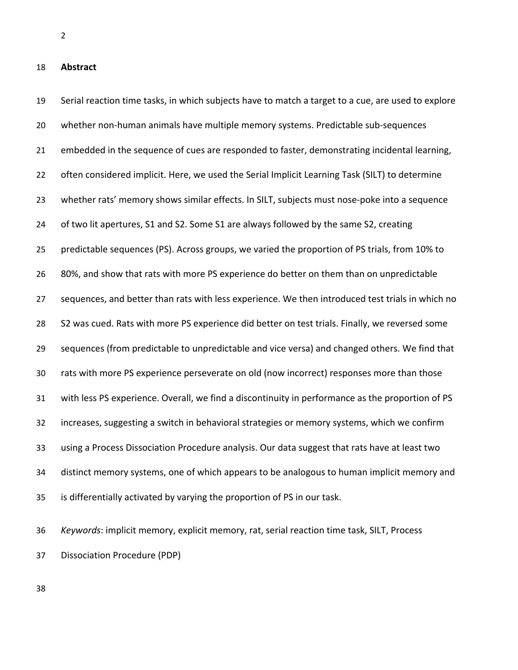**Abstract**

 Serial reaction time tasks, in which subjects have to match a target to a cue, are used to explore whether non-human animals have multiple memory systems. Predictable sub-sequences embedded in the sequence of cues are responded to faster, demonstrating incidental learning, often considered implicit. Here, we used the Serial Implicit Learning Task (SILT) to determine whether rats' memory shows similar effects. In SILT, subjects must nose-poke into a sequence of two lit apertures, S1 and S2. Some S1 are always followed by the same S2, creating predictable sequences (PS). Across groups, we varied the proportion of PS trials, from 10% to 80%, and show that rats with more PS experience do better on them than on unpredictable sequences, and better than rats with less experience. We then introduced test trials in which no S2 was cued. Rats with more PS experience did better on test trials. Finally, we reversed some sequences (from predictable to unpredictable and vice versa) and changed others. We find that rats with more PS experience perseverate on old (now incorrect) responses more than those with less PS experience. Overall, we find a discontinuity in performance as the proportion of PS increases, suggesting a switch in behavioral strategies or memory systems, which we confirm using a Process Dissociation Procedure analysis. Our data suggest that rats have at least two distinct memory systems, one of which appears to be analogous to human implicit memory and is differentially activated by varying the proportion of PS in our task.

 *Keywords*: implicit memory, explicit memory, rat, serial reaction time task, SILT, Process Dissociation Procedure (PDP)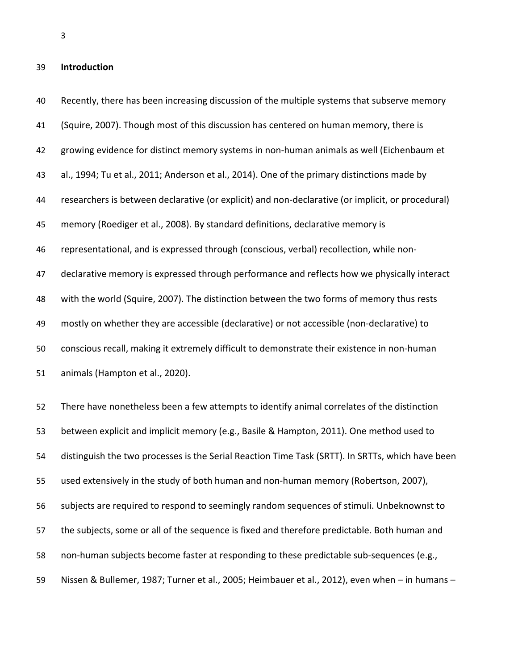## **Introduction**

 Recently, there has been increasing discussion of the multiple systems that subserve memory (Squire, 2007). Though most of this discussion has centered on human memory, there is growing evidence for distinct memory systems in non-human animals as well (Eichenbaum et al., 1994; Tu et al., 2011; Anderson et al., 2014). One of the primary distinctions made by researchers is between declarative (or explicit) and non-declarative (or implicit, or procedural) memory (Roediger et al., 2008). By standard definitions, declarative memory is representational, and is expressed through (conscious, verbal) recollection, while non-47 declarative memory is expressed through performance and reflects how we physically interact with the world (Squire, 2007). The distinction between the two forms of memory thus rests mostly on whether they are accessible (declarative) or not accessible (non-declarative) to conscious recall, making it extremely difficult to demonstrate their existence in non-human animals (Hampton et al., 2020). There have nonetheless been a few attempts to identify animal correlates of the distinction between explicit and implicit memory (e.g., Basile & Hampton, 2011). One method used to distinguish the two processes is the Serial Reaction Time Task (SRTT). In SRTTs, which have been used extensively in the study of both human and non-human memory (Robertson, 2007), subjects are required to respond to seemingly random sequences of stimuli. Unbeknownst to the subjects, some or all of the sequence is fixed and therefore predictable. Both human and non-human subjects become faster at responding to these predictable sub-sequences (e.g.,

Nissen & Bullemer, 1987; Turner et al., 2005; Heimbauer et al., 2012), even when – in humans –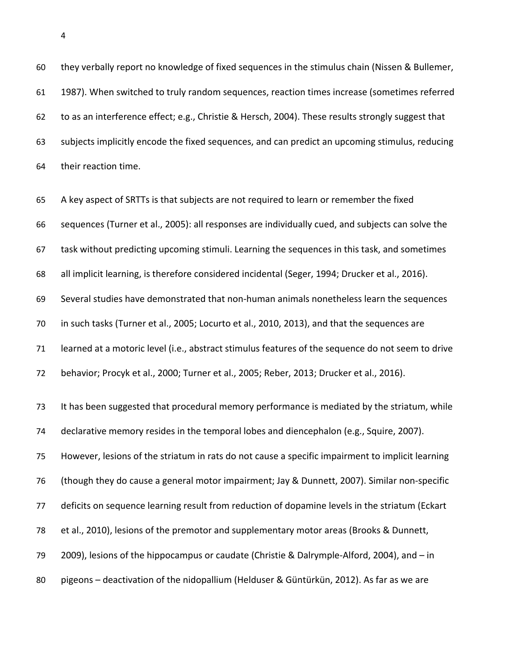they verbally report no knowledge of fixed sequences in the stimulus chain (Nissen & Bullemer, 1987). When switched to truly random sequences, reaction times increase (sometimes referred to as an interference effect; e.g., Christie & Hersch, 2004). These results strongly suggest that subjects implicitly encode the fixed sequences, and can predict an upcoming stimulus, reducing their reaction time.

 A key aspect of SRTTs is that subjects are not required to learn or remember the fixed sequences (Turner et al., 2005): all responses are individually cued, and subjects can solve the task without predicting upcoming stimuli. Learning the sequences in this task, and sometimes all implicit learning, is therefore considered incidental (Seger, 1994; Drucker et al., 2016). Several studies have demonstrated that non-human animals nonetheless learn the sequences in such tasks (Turner et al., 2005; Locurto et al., 2010, 2013), and that the sequences are learned at a motoric level (i.e., abstract stimulus features of the sequence do not seem to drive behavior; Procyk et al., 2000; Turner et al., 2005; Reber, 2013; Drucker et al., 2016). It has been suggested that procedural memory performance is mediated by the striatum, while declarative memory resides in the temporal lobes and diencephalon (e.g., Squire, 2007). However, lesions of the striatum in rats do not cause a specific impairment to implicit learning (though they do cause a general motor impairment; Jay & Dunnett, 2007). Similar non-specific deficits on sequence learning result from reduction of dopamine levels in the striatum (Eckart et al., 2010), lesions of the premotor and supplementary motor areas (Brooks & Dunnett, 2009), lesions of the hippocampus or caudate (Christie & Dalrymple-Alford, 2004), and – in pigeons – deactivation of the nidopallium (Helduser & Güntürkün, 2012). As far as we are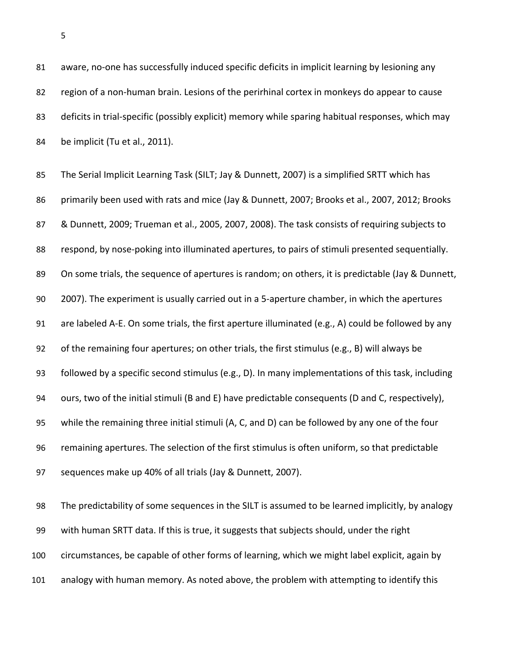81 aware, no-one has successfully induced specific deficits in implicit learning by lesioning any region of a non-human brain. Lesions of the perirhinal cortex in monkeys do appear to cause deficits in trial-specific (possibly explicit) memory while sparing habitual responses, which may be implicit (Tu et al., 2011).

 The Serial Implicit Learning Task (SILT; Jay & Dunnett, 2007) is a simplified SRTT which has primarily been used with rats and mice (Jay & Dunnett, 2007; Brooks et al., 2007, 2012; Brooks & Dunnett, 2009; Trueman et al., 2005, 2007, 2008). The task consists of requiring subjects to respond, by nose-poking into illuminated apertures, to pairs of stimuli presented sequentially. 89 On some trials, the sequence of apertures is random; on others, it is predictable (Jay & Dunnett, 2007). The experiment is usually carried out in a 5-aperture chamber, in which the apertures are labeled A-E. On some trials, the first aperture illuminated (e.g., A) could be followed by any of the remaining four apertures; on other trials, the first stimulus (e.g., B) will always be followed by a specific second stimulus (e.g., D). In many implementations of this task, including ours, two of the initial stimuli (B and E) have predictable consequents (D and C, respectively), while the remaining three initial stimuli (A, C, and D) can be followed by any one of the four remaining apertures. The selection of the first stimulus is often uniform, so that predictable sequences make up 40% of all trials (Jay & Dunnett, 2007).

 The predictability of some sequences in the SILT is assumed to be learned implicitly, by analogy with human SRTT data. If this is true, it suggests that subjects should, under the right circumstances, be capable of other forms of learning, which we might label explicit, again by analogy with human memory. As noted above, the problem with attempting to identify this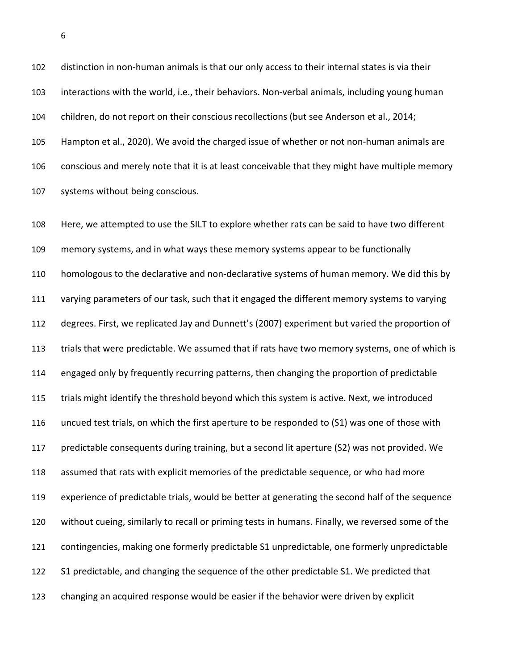distinction in non-human animals is that our only access to their internal states is via their interactions with the world, i.e., their behaviors. Non-verbal animals, including young human children, do not report on their conscious recollections (but see Anderson et al., 2014; Hampton et al., 2020). We avoid the charged issue of whether or not non-human animals are conscious and merely note that it is at least conceivable that they might have multiple memory systems without being conscious.

 Here, we attempted to use the SILT to explore whether rats can be said to have two different memory systems, and in what ways these memory systems appear to be functionally homologous to the declarative and non-declarative systems of human memory. We did this by varying parameters of our task, such that it engaged the different memory systems to varying degrees. First, we replicated Jay and Dunnett's (2007) experiment but varied the proportion of trials that were predictable. We assumed that if rats have two memory systems, one of which is engaged only by frequently recurring patterns, then changing the proportion of predictable trials might identify the threshold beyond which this system is active. Next, we introduced uncued test trials, on which the first aperture to be responded to (S1) was one of those with predictable consequents during training, but a second lit aperture (S2) was not provided. We assumed that rats with explicit memories of the predictable sequence, or who had more experience of predictable trials, would be better at generating the second half of the sequence without cueing, similarly to recall or priming tests in humans. Finally, we reversed some of the contingencies, making one formerly predictable S1 unpredictable, one formerly unpredictable S1 predictable, and changing the sequence of the other predictable S1. We predicted that changing an acquired response would be easier if the behavior were driven by explicit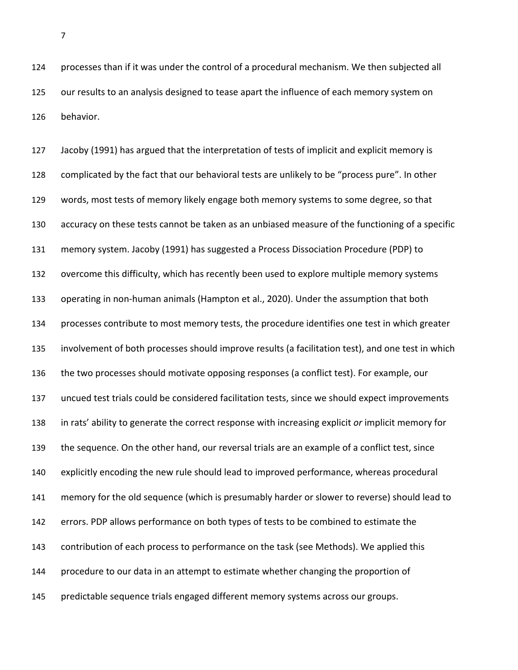processes than if it was under the control of a procedural mechanism. We then subjected all our results to an analysis designed to tease apart the influence of each memory system on behavior.

 Jacoby (1991) has argued that the interpretation of tests of implicit and explicit memory is complicated by the fact that our behavioral tests are unlikely to be "process pure". In other words, most tests of memory likely engage both memory systems to some degree, so that accuracy on these tests cannot be taken as an unbiased measure of the functioning of a specific memory system. Jacoby (1991) has suggested a Process Dissociation Procedure (PDP) to overcome this difficulty, which has recently been used to explore multiple memory systems operating in non-human animals (Hampton et al., 2020). Under the assumption that both processes contribute to most memory tests, the procedure identifies one test in which greater involvement of both processes should improve results (a facilitation test), and one test in which the two processes should motivate opposing responses (a conflict test). For example, our uncued test trials could be considered facilitation tests, since we should expect improvements in rats' ability to generate the correct response with increasing explicit *or* implicit memory for the sequence. On the other hand, our reversal trials are an example of a conflict test, since explicitly encoding the new rule should lead to improved performance, whereas procedural memory for the old sequence (which is presumably harder or slower to reverse) should lead to errors. PDP allows performance on both types of tests to be combined to estimate the contribution of each process to performance on the task (see Methods). We applied this procedure to our data in an attempt to estimate whether changing the proportion of predictable sequence trials engaged different memory systems across our groups.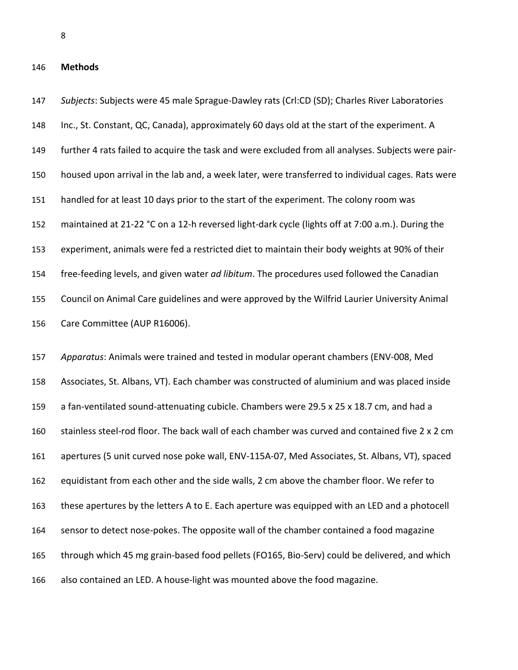## **Methods**

 *Subjects*: Subjects were 45 male Sprague-Dawley rats (Crl:CD (SD); Charles River Laboratories Inc., St. Constant, QC, Canada), approximately 60 days old at the start of the experiment. A further 4 rats failed to acquire the task and were excluded from all analyses. Subjects were pair- housed upon arrival in the lab and, a week later, were transferred to individual cages. Rats were handled for at least 10 days prior to the start of the experiment. The colony room was maintained at 21-22 °C on a 12-h reversed light-dark cycle (lights off at 7:00 a.m.). During the experiment, animals were fed a restricted diet to maintain their body weights at 90% of their free-feeding levels, and given water *ad libitum*. The procedures used followed the Canadian Council on Animal Care guidelines and were approved by the Wilfrid Laurier University Animal Care Committee (AUP R16006).

 *Apparatus*: Animals were trained and tested in modular operant chambers (ENV-008, Med Associates, St. Albans, VT). Each chamber was constructed of aluminium and was placed inside a fan-ventilated sound-attenuating cubicle. Chambers were 29.5 x 25 x 18.7 cm, and had a stainless steel-rod floor. The back wall of each chamber was curved and contained five 2 x 2 cm apertures (5 unit curved nose poke wall, ENV-115A-07, Med Associates, St. Albans, VT), spaced equidistant from each other and the side walls, 2 cm above the chamber floor. We refer to these apertures by the letters A to E. Each aperture was equipped with an LED and a photocell sensor to detect nose-pokes. The opposite wall of the chamber contained a food magazine through which 45 mg grain-based food pellets (FO165, Bio-Serv) could be delivered, and which also contained an LED. A house-light was mounted above the food magazine.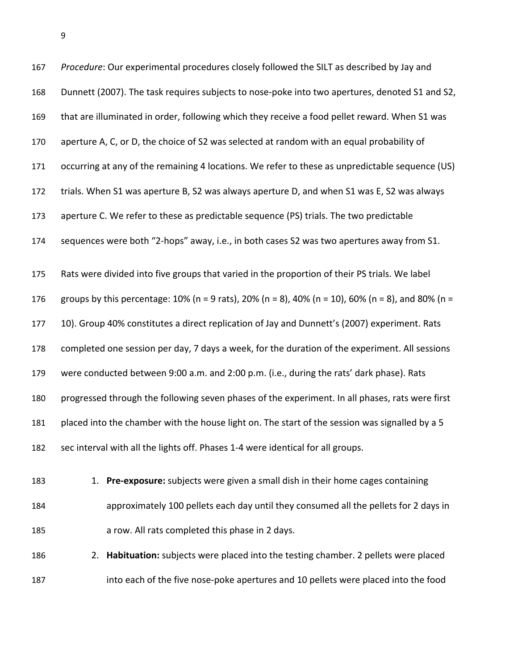| 167 | Procedure: Our experimental procedures closely followed the SILT as described by Jay and          |
|-----|---------------------------------------------------------------------------------------------------|
| 168 | Dunnett (2007). The task requires subjects to nose-poke into two apertures, denoted S1 and S2,    |
| 169 | that are illuminated in order, following which they receive a food pellet reward. When S1 was     |
| 170 | aperture A, C, or D, the choice of S2 was selected at random with an equal probability of         |
| 171 | occurring at any of the remaining 4 locations. We refer to these as unpredictable sequence (US)   |
| 172 | trials. When S1 was aperture B, S2 was always aperture D, and when S1 was E, S2 was always        |
| 173 | aperture C. We refer to these as predictable sequence (PS) trials. The two predictable            |
| 174 | sequences were both "2-hops" away, i.e., in both cases S2 was two apertures away from S1.         |
| 175 | Rats were divided into five groups that varied in the proportion of their PS trials. We label     |
| 176 | groups by this percentage: 10% (n = 9 rats), 20% (n = 8), 40% (n = 10), 60% (n = 8), and 80% (n = |
| 177 | 10). Group 40% constitutes a direct replication of Jay and Dunnett's (2007) experiment. Rats      |
| 178 | completed one session per day, 7 days a week, for the duration of the experiment. All sessions    |
| 179 | were conducted between 9:00 a.m. and 2:00 p.m. (i.e., during the rats' dark phase). Rats          |
| 180 | progressed through the following seven phases of the experiment. In all phases, rats were first   |
| 181 | placed into the chamber with the house light on. The start of the session was signalled by a 5    |
| 182 | sec interval with all the lights off. Phases 1-4 were identical for all groups.                   |
| 183 | 1. Pre-exposure: subjects were given a small dish in their home cages containing                  |
| 184 | approximately 100 pellets each day until they consumed all the pellets for 2 days in              |

a row. All rats completed this phase in 2 days.

 2. **Habituation:** subjects were placed into the testing chamber. 2 pellets were placed into each of the five nose-poke apertures and 10 pellets were placed into the food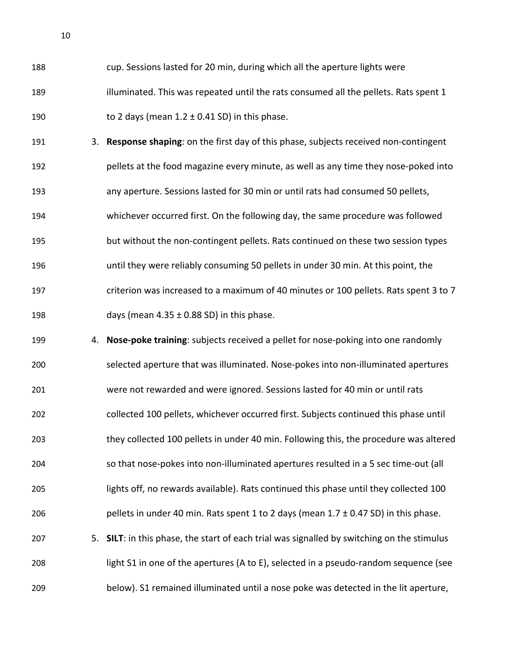cup. Sessions lasted for 20 min, during which all the aperture lights were 189 illuminated. This was repeated until the rats consumed all the pellets. Rats spent 1 190 to 2 days (mean  $1.2 \pm 0.41$  SD) in this phase.

- 3. **Response shaping**: on the first day of this phase, subjects received non-contingent pellets at the food magazine every minute, as well as any time they nose-poked into any aperture. Sessions lasted for 30 min or until rats had consumed 50 pellets, whichever occurred first. On the following day, the same procedure was followed but without the non-contingent pellets. Rats continued on these two session types until they were reliably consuming 50 pellets in under 30 min. At this point, the criterion was increased to a maximum of 40 minutes or 100 pellets. Rats spent 3 to 7 198 days (mean  $4.35 \pm 0.88$  SD) in this phase.
- 4. **Nose-poke training**: subjects received a pellet for nose-poking into one randomly selected aperture that was illuminated. Nose-pokes into non-illuminated apertures were not rewarded and were ignored. Sessions lasted for 40 min or until rats collected 100 pellets, whichever occurred first. Subjects continued this phase until they collected 100 pellets in under 40 min. Following this, the procedure was altered so that nose-pokes into non-illuminated apertures resulted in a 5 sec time-out (all lights off, no rewards available). Rats continued this phase until they collected 100 206 pellets in under 40 min. Rats spent 1 to 2 days (mean  $1.7 \pm 0.47$  SD) in this phase. 5. **SILT**: in this phase, the start of each trial was signalled by switching on the stimulus light S1 in one of the apertures (A to E), selected in a pseudo-random sequence (see below). S1 remained illuminated until a nose poke was detected in the lit aperture,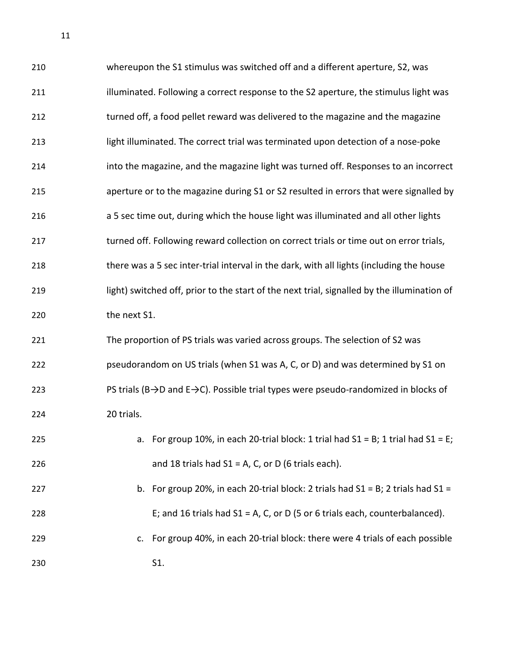| 210 | whereupon the S1 stimulus was switched off and a different aperture, S2, was                                  |  |  |  |  |  |
|-----|---------------------------------------------------------------------------------------------------------------|--|--|--|--|--|
| 211 | illuminated. Following a correct response to the S2 aperture, the stimulus light was                          |  |  |  |  |  |
| 212 | turned off, a food pellet reward was delivered to the magazine and the magazine                               |  |  |  |  |  |
| 213 | light illuminated. The correct trial was terminated upon detection of a nose-poke                             |  |  |  |  |  |
| 214 | into the magazine, and the magazine light was turned off. Responses to an incorrect                           |  |  |  |  |  |
| 215 | aperture or to the magazine during S1 or S2 resulted in errors that were signalled by                         |  |  |  |  |  |
| 216 | a 5 sec time out, during which the house light was illuminated and all other lights                           |  |  |  |  |  |
| 217 | turned off. Following reward collection on correct trials or time out on error trials,                        |  |  |  |  |  |
| 218 | there was a 5 sec inter-trial interval in the dark, with all lights (including the house                      |  |  |  |  |  |
| 219 | light) switched off, prior to the start of the next trial, signalled by the illumination of                   |  |  |  |  |  |
| 220 | the next S1.                                                                                                  |  |  |  |  |  |
| 221 | The proportion of PS trials was varied across groups. The selection of S2 was                                 |  |  |  |  |  |
| 222 | pseudorandom on US trials (when S1 was A, C, or D) and was determined by S1 on                                |  |  |  |  |  |
| 223 | PS trials (B $\rightarrow$ D and E $\rightarrow$ C). Possible trial types were pseudo-randomized in blocks of |  |  |  |  |  |
| 224 | 20 trials.                                                                                                    |  |  |  |  |  |
| 225 | For group 10%, in each 20-trial block: 1 trial had $S1 = B$ ; 1 trial had $S1 = E$ ;<br>a.                    |  |  |  |  |  |
| 226 | and 18 trials had $S1 = A$ , C, or D (6 trials each).                                                         |  |  |  |  |  |
| 227 | b. For group 20%, in each 20-trial block: 2 trials had $S1 = B$ ; 2 trials had $S1 =$                         |  |  |  |  |  |

- E; and 16 trials had S1 = A, C, or D (5 or 6 trials each, counterbalanced).
- c. For group 40%, in each 20-trial block: there were 4 trials of each possible S1.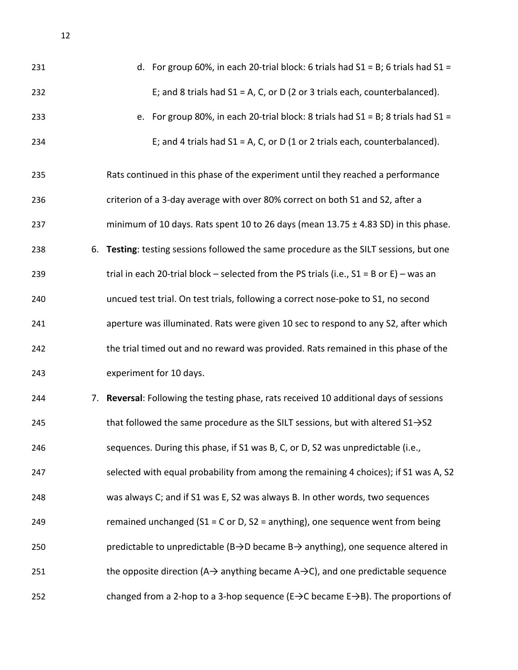| 231 | d. For group 60%, in each 20-trial block: 6 trials had $S1 = B$ ; 6 trials had $S1 =$                       |  |  |  |  |
|-----|-------------------------------------------------------------------------------------------------------------|--|--|--|--|
| 232 | E; and 8 trials had $S1 = A$ , C, or D (2 or 3 trials each, counterbalanced).                               |  |  |  |  |
| 233 | e. For group 80%, in each 20-trial block: 8 trials had $S1 = B$ ; 8 trials had $S1 =$                       |  |  |  |  |
| 234 | E; and 4 trials had $S1 = A$ , C, or D (1 or 2 trials each, counterbalanced).                               |  |  |  |  |
| 235 | Rats continued in this phase of the experiment until they reached a performance                             |  |  |  |  |
| 236 | criterion of a 3-day average with over 80% correct on both S1 and S2, after a                               |  |  |  |  |
| 237 | minimum of 10 days. Rats spent 10 to 26 days (mean $13.75 \pm 4.83$ SD) in this phase.                      |  |  |  |  |
| 238 | 6. Testing: testing sessions followed the same procedure as the SILT sessions, but one                      |  |  |  |  |
| 239 | trial in each 20-trial block – selected from the PS trials (i.e., $S1 = B$ or E) – was an                   |  |  |  |  |
| 240 | uncued test trial. On test trials, following a correct nose-poke to S1, no second                           |  |  |  |  |
| 241 | aperture was illuminated. Rats were given 10 sec to respond to any S2, after which                          |  |  |  |  |
| 242 | the trial timed out and no reward was provided. Rats remained in this phase of the                          |  |  |  |  |
| 243 | experiment for 10 days.                                                                                     |  |  |  |  |
| 244 | 7. Reversal: Following the testing phase, rats received 10 additional days of sessions                      |  |  |  |  |
| 245 | that followed the same procedure as the SILT sessions, but with altered $S1\rightarrow S2$                  |  |  |  |  |
| 246 | sequences. During this phase, if S1 was B, C, or D, S2 was unpredictable (i.e.,                             |  |  |  |  |
| 247 | selected with equal probability from among the remaining 4 choices); if S1 was A, S2                        |  |  |  |  |
| 248 | was always C; and if S1 was E, S2 was always B. In other words, two sequences                               |  |  |  |  |
| 249 | remained unchanged ( $S1 = C$ or D, $S2 =$ anything), one sequence went from being                          |  |  |  |  |
| 250 | predictable to unpredictable ( $B\rightarrow D$ became $B\rightarrow$ anything), one sequence altered in    |  |  |  |  |
| 251 | the opposite direction ( $A \rightarrow$ anything became $A \rightarrow C$ ), and one predictable sequence  |  |  |  |  |
| 252 | changed from a 2-hop to a 3-hop sequence ( $E \rightarrow C$ became $E \rightarrow B$ ). The proportions of |  |  |  |  |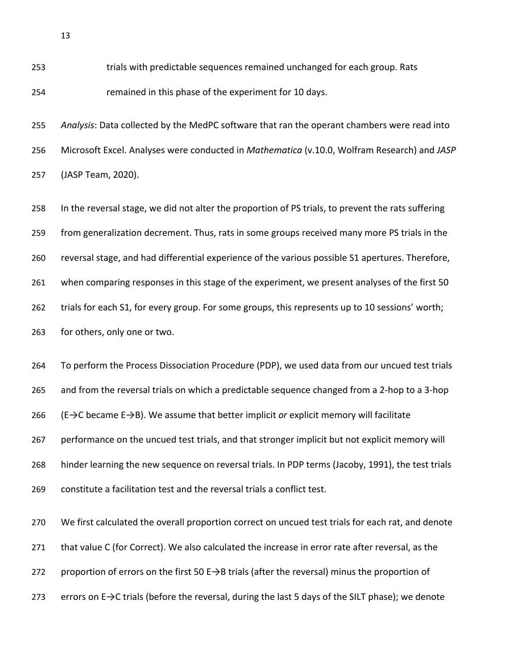trials with predictable sequences remained unchanged for each group. Rats remained in this phase of the experiment for 10 days.

 *Analysis*: Data collected by the MedPC software that ran the operant chambers were read into Microsoft Excel. Analyses were conducted in *Mathematica* (v.10.0, Wolfram Research) and *JASP* (JASP Team, 2020).

 In the reversal stage, we did not alter the proportion of PS trials, to prevent the rats suffering from generalization decrement. Thus, rats in some groups received many more PS trials in the reversal stage, and had differential experience of the various possible S1 apertures. Therefore, when comparing responses in this stage of the experiment, we present analyses of the first 50 trials for each S1, for every group. For some groups, this represents up to 10 sessions' worth; for others, only one or two.

 To perform the Process Dissociation Procedure (PDP), we used data from our uncued test trials and from the reversal trials on which a predictable sequence changed from a 2-hop to a 3-hop (E→C became E→B). We assume that better implicit *or* explicit memory will facilitate performance on the uncued test trials, and that stronger implicit but not explicit memory will hinder learning the new sequence on reversal trials. In PDP terms (Jacoby, 1991), the test trials constitute a facilitation test and the reversal trials a conflict test.

 We first calculated the overall proportion correct on uncued test trials for each rat, and denote that value C (for Correct). We also calculated the increase in error rate after reversal, as the 272 proportion of errors on the first 50 E $\rightarrow$ B trials (after the reversal) minus the proportion of 273 errors on E→C trials (before the reversal, during the last 5 days of the SILT phase); we denote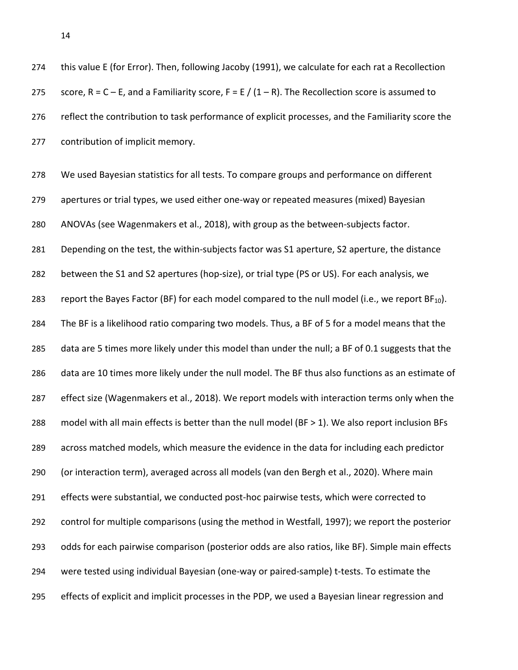this value E (for Error). Then, following Jacoby (1991), we calculate for each rat a Recollection 275 score,  $R = C - E$ , and a Familiarity score,  $F = E / (1 - R)$ . The Recollection score is assumed to 276 reflect the contribution to task performance of explicit processes, and the Familiarity score the contribution of implicit memory. We used Bayesian statistics for all tests. To compare groups and performance on different apertures or trial types, we used either one-way or repeated measures (mixed) Bayesian ANOVAs (see Wagenmakers et al., 2018), with group as the between-subjects factor. Depending on the test, the within-subjects factor was S1 aperture, S2 aperture, the distance between the S1 and S2 apertures (hop-size), or trial type (PS or US). For each analysis, we 283 report the Bayes Factor (BF) for each model compared to the null model (i.e., we report  $BF_{10}$ ). The BF is a likelihood ratio comparing two models. Thus, a BF of 5 for a model means that the data are 5 times more likely under this model than under the null; a BF of 0.1 suggests that the data are 10 times more likely under the null model. The BF thus also functions as an estimate of effect size (Wagenmakers et al., 2018). We report models with interaction terms only when the model with all main effects is better than the null model (BF > 1). We also report inclusion BFs across matched models, which measure the evidence in the data for including each predictor

(or interaction term), averaged across all models (van den Bergh et al., 2020). Where main

 effects were substantial, we conducted post-hoc pairwise tests, which were corrected to control for multiple comparisons (using the method in Westfall, 1997); we report the posterior odds for each pairwise comparison (posterior odds are also ratios, like BF). Simple main effects were tested using individual Bayesian (one-way or paired-sample) t-tests. To estimate the effects of explicit and implicit processes in the PDP, we used a Bayesian linear regression and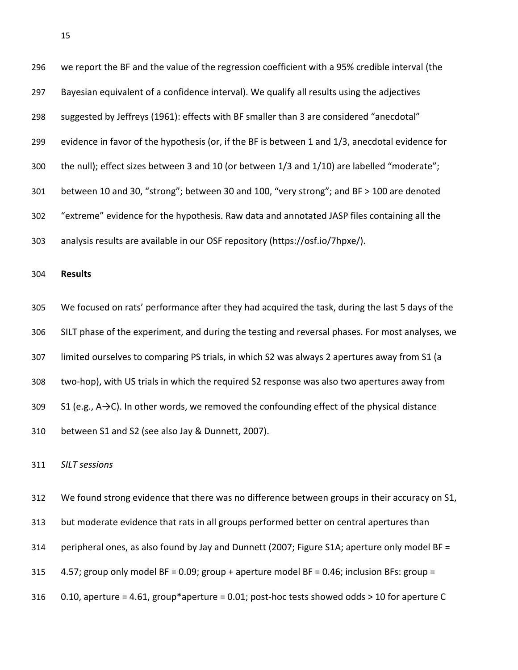| 296 | we report the BF and the value of the regression coefficient with a 95% credible interval (the            |
|-----|-----------------------------------------------------------------------------------------------------------|
| 297 | Bayesian equivalent of a confidence interval). We qualify all results using the adjectives                |
| 298 | suggested by Jeffreys (1961): effects with BF smaller than 3 are considered "anecdotal"                   |
| 299 | evidence in favor of the hypothesis (or, if the BF is between 1 and 1/3, anecdotal evidence for           |
| 300 | the null); effect sizes between 3 and 10 (or between 1/3 and 1/10) are labelled "moderate";               |
| 301 | between 10 and 30, "strong"; between 30 and 100, "very strong"; and BF > 100 are denoted                  |
| 302 | "extreme" evidence for the hypothesis. Raw data and annotated JASP files containing all the               |
| 303 | analysis results are available in our OSF repository (https://osf.io/7hpxe/).                             |
| 304 | <b>Results</b>                                                                                            |
| 305 | We focused on rats' performance after they had acquired the task, during the last 5 days of the           |
| 306 | SILT phase of the experiment, and during the testing and reversal phases. For most analyses, we           |
| 307 | limited ourselves to comparing PS trials, in which S2 was always 2 apertures away from S1 (a              |
| 308 | two-hop), with US trials in which the required S2 response was also two apertures away from               |
| 309 | S1 (e.g., $A \rightarrow C$ ). In other words, we removed the confounding effect of the physical distance |

between S1 and S2 (see also Jay & Dunnett, 2007).

*SILT sessions*

 We found strong evidence that there was no difference between groups in their accuracy on S1, but moderate evidence that rats in all groups performed better on central apertures than peripheral ones, as also found by Jay and Dunnett (2007; Figure S1A; aperture only model BF = 4.57; group only model BF = 0.09; group + aperture model BF = 0.46; inclusion BFs: group = 0.10, aperture = 4.61, group\*aperture = 0.01; post-hoc tests showed odds > 10 for aperture C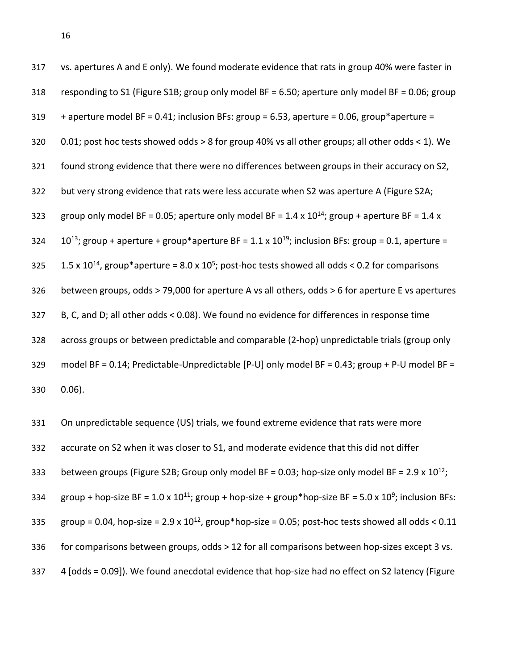| 317 | vs. apertures A and E only). We found moderate evidence that rats in group 40% were faster in                          |
|-----|------------------------------------------------------------------------------------------------------------------------|
| 318 | responding to S1 (Figure S1B; group only model BF = 6.50; aperture only model BF = 0.06; group                         |
| 319 | + aperture model BF = 0.41; inclusion BFs: group = 6.53, aperture = 0.06, group*aperture =                             |
| 320 | 0.01; post hoc tests showed odds > 8 for group 40% vs all other groups; all other odds < 1). We                        |
| 321 | found strong evidence that there were no differences between groups in their accuracy on S2,                           |
| 322 | but very strong evidence that rats were less accurate when S2 was aperture A (Figure S2A;                              |
| 323 | group only model BF = 0.05; aperture only model BF = $1.4 \times 10^{14}$ ; group + aperture BF = $1.4 \times$         |
| 324 | $10^{13}$ ; group + aperture + group*aperture BF = 1.1 x $10^{19}$ ; inclusion BFs: group = 0.1, aperture =            |
| 325 | 1.5 x 10 <sup>14</sup> , group*aperture = 8.0 x 10 <sup>5</sup> ; post-hoc tests showed all odds < 0.2 for comparisons |
| 326 | between groups, odds > 79,000 for aperture A vs all others, odds > 6 for aperture E vs apertures                       |
| 327 | B, C, and D; all other odds < 0.08). We found no evidence for differences in response time                             |
| 328 | across groups or between predictable and comparable (2-hop) unpredictable trials (group only                           |
| 329 | model BF = 0.14; Predictable-Unpredictable [P-U] only model BF = 0.43; group + P-U model BF =                          |
| 330 | $0.06$ ).                                                                                                              |

 On unpredictable sequence (US) trials, we found extreme evidence that rats were more accurate on S2 when it was closer to S1, and moderate evidence that this did not differ 333 between groups (Figure S2B; Group only model BF = 0.03; hop-size only model BF = 2.9 x  $10^{12}$ ; group + hop-size BF =  $1.0 \times 10^{11}$ ; group + hop-size + group\*hop-size BF =  $5.0 \times 10^9$ ; inclusion BFs: group = 0.04, hop-size =  $2.9 \times 10^{12}$ , group\*hop-size = 0.05; post-hoc tests showed all odds < 0.11 for comparisons between groups, odds > 12 for all comparisons between hop-sizes except 3 vs. 4 [odds = 0.09]). We found anecdotal evidence that hop-size had no effect on S2 latency (Figure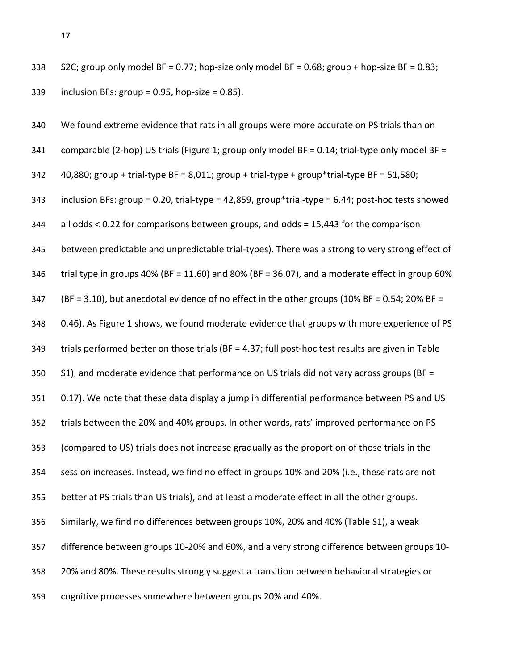S2C; group only model BF = 0.77; hop-size only model BF = 0.68; group + hop-size BF = 0.83; inclusion BFs: group = 0.95, hop-size = 0.85).

| 340 | We found extreme evidence that rats in all groups were more accurate on PS trials than on         |
|-----|---------------------------------------------------------------------------------------------------|
| 341 | comparable (2-hop) US trials (Figure 1; group only model BF = 0.14; trial-type only model BF =    |
| 342 | 40,880; group + trial-type BF = 8,011; group + trial-type + group*trial-type BF = 51,580;         |
| 343 | inclusion BFs: group = 0.20, trial-type = 42,859, group*trial-type = 6.44; post-hoc tests showed  |
| 344 | all odds < 0.22 for comparisons between groups, and odds = 15,443 for the comparison              |
| 345 | between predictable and unpredictable trial-types). There was a strong to very strong effect of   |
| 346 | trial type in groups 40% (BF = 11.60) and 80% (BF = 36.07), and a moderate effect in group 60%    |
| 347 | (BF = 3.10), but anecdotal evidence of no effect in the other groups (10% BF = 0.54; 20% BF =     |
| 348 | 0.46). As Figure 1 shows, we found moderate evidence that groups with more experience of PS       |
| 349 | trials performed better on those trials (BF = 4.37; full post-hoc test results are given in Table |
| 350 | S1), and moderate evidence that performance on US trials did not vary across groups (BF =         |
| 351 | 0.17). We note that these data display a jump in differential performance between PS and US       |
| 352 | trials between the 20% and 40% groups. In other words, rats' improved performance on PS           |
| 353 | (compared to US) trials does not increase gradually as the proportion of those trials in the      |
| 354 | session increases. Instead, we find no effect in groups 10% and 20% (i.e., these rats are not     |
| 355 | better at PS trials than US trials), and at least a moderate effect in all the other groups.      |
| 356 | Similarly, we find no differences between groups 10%, 20% and 40% (Table S1), a weak              |
| 357 | difference between groups 10-20% and 60%, and a very strong difference between groups 10-         |
| 358 | 20% and 80%. These results strongly suggest a transition between behavioral strategies or         |
| 359 | cognitive processes somewhere between groups 20% and 40%.                                         |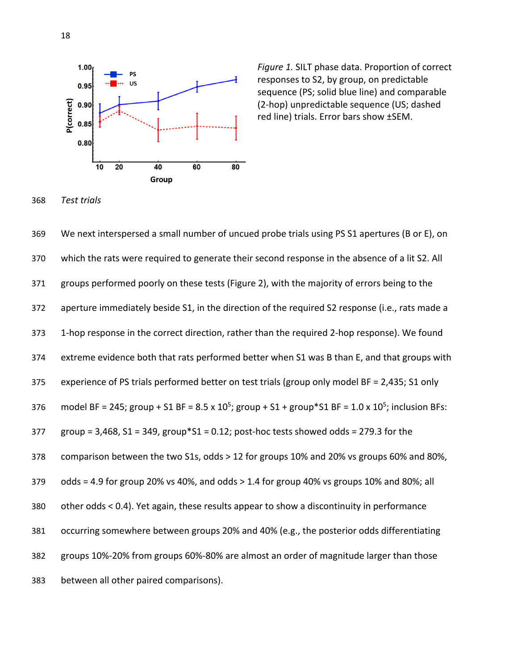

Figure 1. SILT phase data. Proportion of correct responses to S2, by group, on predictable sequence (PS; solid blue line) and comparable (2-hop) unpredictable sequence (US; dashed red line) trials. Error bars show ±SEM.

*Test trials*

 We next interspersed a small number of uncued probe trials using PS S1 apertures (B or E), on which the rats were required to generate their second response in the absence of a lit S2. All groups performed poorly on these tests (Figure 2), with the majority of errors being to the aperture immediately beside S1, in the direction of the required S2 response (i.e., rats made a 1-hop response in the correct direction, rather than the required 2-hop response). We found extreme evidence both that rats performed better when S1 was B than E, and that groups with experience of PS trials performed better on test trials (group only model BF = 2,435; S1 only 376 model BF = 245; group + S1 BF = 8.5 x 10<sup>5</sup>; group + S1 + group \* S1 BF = 1.0 x 10<sup>5</sup>; inclusion BFs: group = 3,468, S1 = 349, group\*S1 = 0.12; post-hoc tests showed odds = 279.3 for the comparison between the two S1s, odds > 12 for groups 10% and 20% vs groups 60% and 80%, odds = 4.9 for group 20% vs 40%, and odds > 1.4 for group 40% vs groups 10% and 80%; all other odds < 0.4). Yet again, these results appear to show a discontinuity in performance occurring somewhere between groups 20% and 40% (e.g., the posterior odds differentiating groups 10%-20% from groups 60%-80% are almost an order of magnitude larger than those between all other paired comparisons).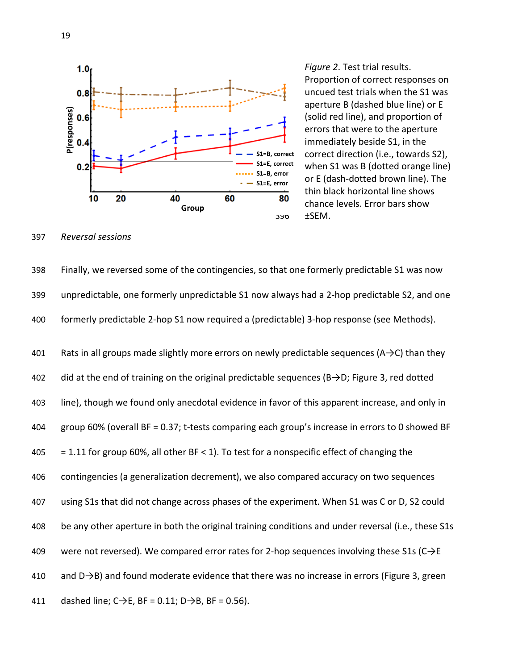

Figure 2. Test trial results. Proportion of correct responses on uncued test trials when the S1 was aperture B (dashed blue line) or E (solid red line), and proportion of errors that were to the aperture immediately beside S1, in the  $S1=B$ , correct correct direction (i.e., towards S2),<br> $S1=E$ , correct whon S1 was B (dottod orango line)  $S1=E$ , correct when S1 was B (dotted orange line)<br> $S1=B$ , error  $S1=E$ , error or E (dash-dotted brown line). The  $\frac{1}{30}$  thin black horizontal line shows chance levels. Error bars show

397 *Reversal sessions*

398 Finally, we reversed some of the contingencies, so that one formerly predictable S1 was now 399 unpredictable, one formerly unpredictable S1 now always had a 2-hop predictable S2, and one 400 formerly predictable 2-hop S1 now required a (predictable) 3-hop response (see Methods).

401 Rats in all groups made slightly more errors on newly predictable sequences ( $A\rightarrow C$ ) than they did at the end of training on the original predictable sequences (B→D; Figure 3, red dotted line), though we found only anecdotal evidence in favor of this apparent increase, and only in group 60% (overall BF = 0.37; t-tests comparing each group's increase in errors to 0 showed BF  $405 = 1.11$  for group 60%, all other BF < 1). To test for a nonspecific effect of changing the contingencies (a generalization decrement), we also compared accuracy on two sequences using S1s that did not change across phases of the experiment. When S1 was C or D, S2 could be any other aperture in both the original training conditions and under reversal (i.e., these S1s 409 were not reversed). We compared error rates for 2-hop sequences involving these S1s ( $C\rightarrow E$  and D→B) and found moderate evidence that there was no increase in errors (Figure 3, green 411 dashed line;  $C \rightarrow E$ , BF = 0.11; D $\rightarrow$ B, BF = 0.56).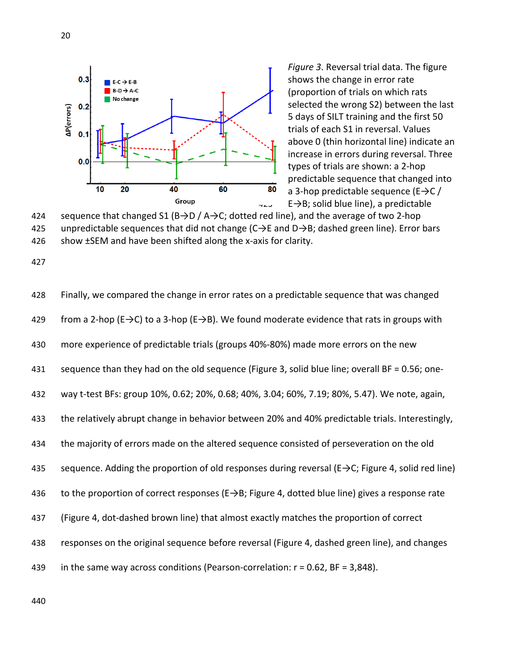

Figure 3. Reversal trial data. The figure shows the change in error rate (proportion of trials on which rats selected the wrong S2) between the last 5 days of SILT training and the first 50 trials of each S1 in reversal. Values above 0 (thin horizontal line) indicate an increase in errors during reversal. Three types of trials are shown: a 2-hop  $\frac{1}{20}$  predictable sequence that changed into<br>  $\frac{1}{20}$  a 3-bon predictable sequence (E $\rightarrow$ C / a 3-hop predictable sequence ( $E\rightarrow C/$  $\leftarrow$  E $\rightarrow$ B; solid blue line), a predictable



427

428 Finally, we compared the change in error rates on a predictable sequence that was changed 429 from a 2-hop (E $\rightarrow$ C) to a 3-hop (E $\rightarrow$ B). We found moderate evidence that rats in groups with 430 more experience of predictable trials (groups 40%-80%) made more errors on the new 431 sequence than they had on the old sequence (Figure 3, solid blue line; overall BF = 0.56; one-432 way t-test BFs: group 10%, 0.62; 20%, 0.68; 40%, 3.04; 60%, 7.19; 80%, 5.47). We note, again, 433 the relatively abrupt change in behavior between 20% and 40% predictable trials. Interestingly, 434 the majority of errors made on the altered sequence consisted of perseveration on the old 435 sequence. Adding the proportion of old responses during reversal ( $E \rightarrow C$ ; Figure 4, solid red line) 436 to the proportion of correct responses (E→B; Figure 4, dotted blue line) gives a response rate 437 (Figure 4, dot-dashed brown line) that almost exactly matches the proportion of correct 438 responses on the original sequence before reversal (Figure 4, dashed green line), and changes 439 in the same way across conditions (Pearson-correlation: r = 0.62, BF = 3,848).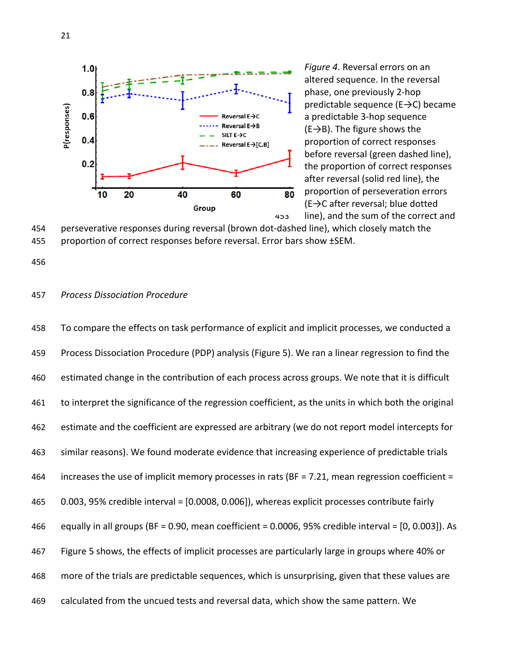

 *Figure 4*. Reversal errors on an altered sequence. In the reversal phase, one previously 2-hop predictable sequence (E→C) became a predictable 3-hop sequence  $(E\rightarrow B)$ . The figure shows the proportion of correct responses before reversal (green dashed line), the proportion of correct responses after reversal (solid red line), the  $\overline{80}$  proportion of perseveration errors  $(E \rightarrow C$  after reversal; blue dotted line), and the sum of the correct and

 perseverative responses during reversal (brown dot-dashed line), which closely match the proportion of correct responses before reversal. Error bars show ±SEM.

#### *Process Dissociation Procedure*

 To compare the effects on task performance of explicit and implicit processes, we conducted a Process Dissociation Procedure (PDP) analysis (Figure 5). We ran a linear regression to find the estimated change in the contribution of each process across groups. We note that it is difficult to interpret the significance of the regression coefficient, as the units in which both the original estimate and the coefficient are expressed are arbitrary (we do not report model intercepts for similar reasons). We found moderate evidence that increasing experience of predictable trials increases the use of implicit memory processes in rats (BF = 7.21, mean regression coefficient = 0.003, 95% credible interval = [0.0008, 0.006]), whereas explicit processes contribute fairly equally in all groups (BF = 0.90, mean coefficient = 0.0006, 95% credible interval = [0, 0.003]). As Figure 5 shows, the effects of implicit processes are particularly large in groups where 40% or more of the trials are predictable sequences, which is unsurprising, given that these values are calculated from the uncued tests and reversal data, which show the same pattern. We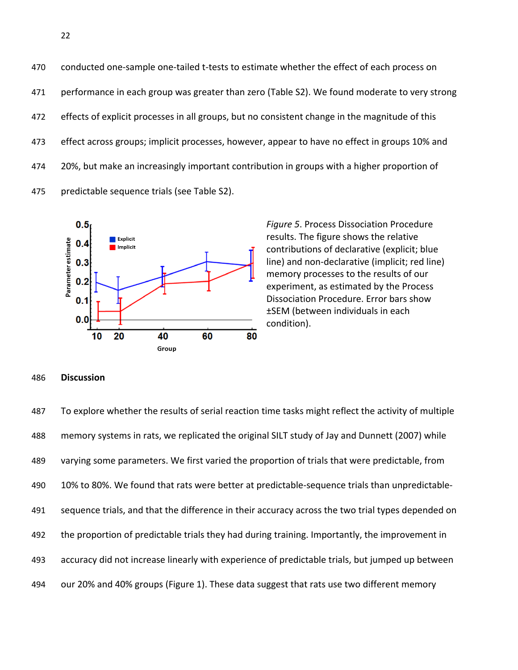470 conducted one-sample one-tailed t-tests to estimate whether the effect of each process on performance in each group was greater than zero (Table S2). We found moderate to very strong effects of explicit processes in all groups, but no consistent change in the magnitude of this effect across groups; implicit processes, however, appear to have no effect in groups 10% and 474 20%, but make an increasingly important contribution in groups with a higher proportion of predictable sequence trials (see Table S2).



476 *Figure 5*. Process Dissociation Procedure results. The figure shows the relative contributions of declarative (explicit; blue line) and non-declarative (implicit; red line) memory processes to the results of our experiment, as estimated by the Process Dissociation Procedure. Error bars show ±SEM (between individuals in each condition).

#### 486 **Discussion**

 To explore whether the results of serial reaction time tasks might reflect the activity of multiple memory systems in rats, we replicated the original SILT study of Jay and Dunnett (2007) while varying some parameters. We first varied the proportion of trials that were predictable, from 10% to 80%. We found that rats were better at predictable-sequence trials than unpredictable- sequence trials, and that the difference in their accuracy across the two trial types depended on 492 the proportion of predictable trials they had during training. Importantly, the improvement in accuracy did not increase linearly with experience of predictable trials, but jumped up between our 20% and 40% groups (Figure 1). These data suggest that rats use two different memory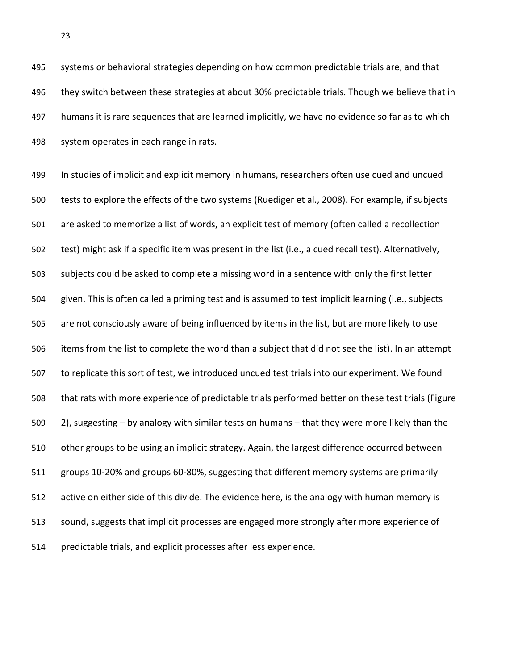systems or behavioral strategies depending on how common predictable trials are, and that they switch between these strategies at about 30% predictable trials. Though we believe that in humans it is rare sequences that are learned implicitly, we have no evidence so far as to which system operates in each range in rats.

 In studies of implicit and explicit memory in humans, researchers often use cued and uncued tests to explore the effects of the two systems (Ruediger et al., 2008). For example, if subjects are asked to memorize a list of words, an explicit test of memory (often called a recollection test) might ask if a specific item was present in the list (i.e., a cued recall test). Alternatively, subjects could be asked to complete a missing word in a sentence with only the first letter given. This is often called a priming test and is assumed to test implicit learning (i.e., subjects are not consciously aware of being influenced by items in the list, but are more likely to use items from the list to complete the word than a subject that did not see the list). In an attempt to replicate this sort of test, we introduced uncued test trials into our experiment. We found that rats with more experience of predictable trials performed better on these test trials (Figure 2), suggesting – by analogy with similar tests on humans – that they were more likely than the other groups to be using an implicit strategy. Again, the largest difference occurred between groups 10-20% and groups 60-80%, suggesting that different memory systems are primarily active on either side of this divide. The evidence here, is the analogy with human memory is sound, suggests that implicit processes are engaged more strongly after more experience of predictable trials, and explicit processes after less experience.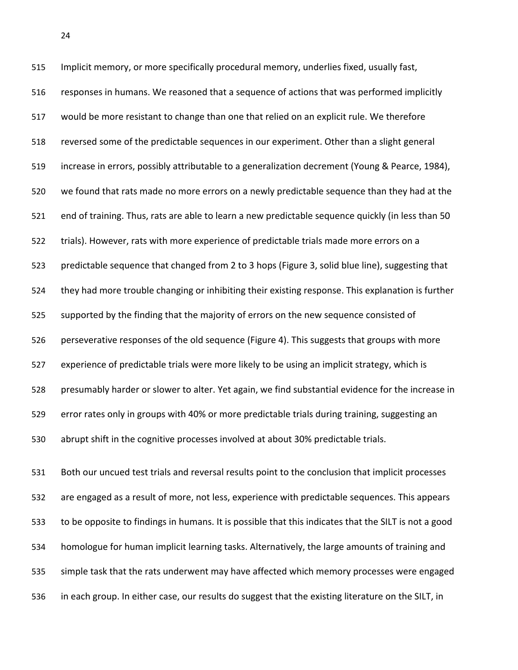Implicit memory, or more specifically procedural memory, underlies fixed, usually fast, responses in humans. We reasoned that a sequence of actions that was performed implicitly would be more resistant to change than one that relied on an explicit rule. We therefore reversed some of the predictable sequences in our experiment. Other than a slight general increase in errors, possibly attributable to a generalization decrement (Young & Pearce, 1984), we found that rats made no more errors on a newly predictable sequence than they had at the end of training. Thus, rats are able to learn a new predictable sequence quickly (in less than 50 trials). However, rats with more experience of predictable trials made more errors on a predictable sequence that changed from 2 to 3 hops (Figure 3, solid blue line), suggesting that they had more trouble changing or inhibiting their existing response. This explanation is further supported by the finding that the majority of errors on the new sequence consisted of perseverative responses of the old sequence (Figure 4). This suggests that groups with more experience of predictable trials were more likely to be using an implicit strategy, which is presumably harder or slower to alter. Yet again, we find substantial evidence for the increase in error rates only in groups with 40% or more predictable trials during training, suggesting an abrupt shift in the cognitive processes involved at about 30% predictable trials.

 Both our uncued test trials and reversal results point to the conclusion that implicit processes are engaged as a result of more, not less, experience with predictable sequences. This appears to be opposite to findings in humans. It is possible that this indicates that the SILT is not a good homologue for human implicit learning tasks. Alternatively, the large amounts of training and simple task that the rats underwent may have affected which memory processes were engaged in each group. In either case, our results do suggest that the existing literature on the SILT, in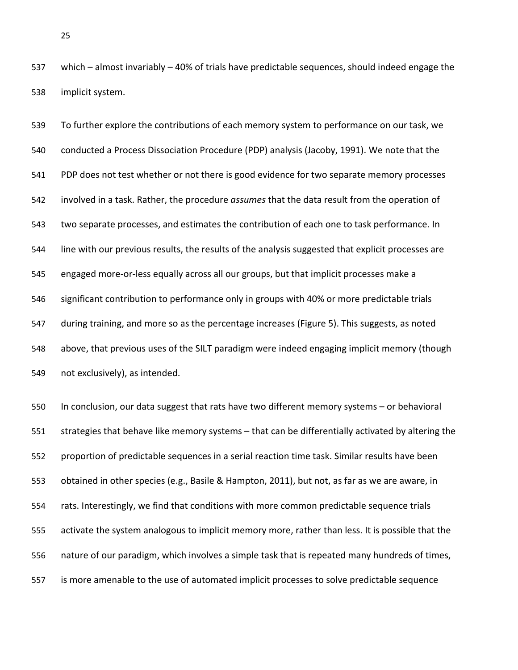which – almost invariably – 40% of trials have predictable sequences, should indeed engage the implicit system.

 To further explore the contributions of each memory system to performance on our task, we conducted a Process Dissociation Procedure (PDP) analysis (Jacoby, 1991). We note that the 541 PDP does not test whether or not there is good evidence for two separate memory processes involved in a task. Rather, the procedure *assumes* that the data result from the operation of two separate processes, and estimates the contribution of each one to task performance. In line with our previous results, the results of the analysis suggested that explicit processes are engaged more-or-less equally across all our groups, but that implicit processes make a significant contribution to performance only in groups with 40% or more predictable trials during training, and more so as the percentage increases (Figure 5). This suggests, as noted above, that previous uses of the SILT paradigm were indeed engaging implicit memory (though not exclusively), as intended.

 In conclusion, our data suggest that rats have two different memory systems – or behavioral strategies that behave like memory systems – that can be differentially activated by altering the proportion of predictable sequences in a serial reaction time task. Similar results have been obtained in other species (e.g., Basile & Hampton, 2011), but not, as far as we are aware, in rats. Interestingly, we find that conditions with more common predictable sequence trials activate the system analogous to implicit memory more, rather than less. It is possible that the nature of our paradigm, which involves a simple task that is repeated many hundreds of times, is more amenable to the use of automated implicit processes to solve predictable sequence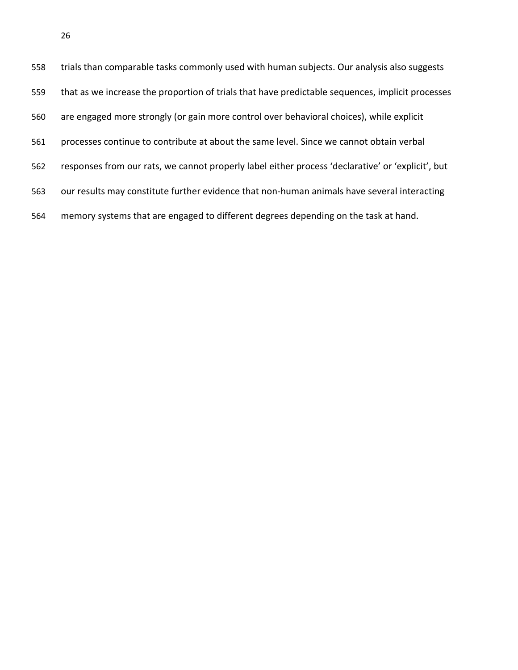| 558 | trials than comparable tasks commonly used with human subjects. Our analysis also suggests        |
|-----|---------------------------------------------------------------------------------------------------|
| 559 | that as we increase the proportion of trials that have predictable sequences, implicit processes  |
| 560 | are engaged more strongly (or gain more control over behavioral choices), while explicit          |
| 561 | processes continue to contribute at about the same level. Since we cannot obtain verbal           |
| 562 | responses from our rats, we cannot properly label either process 'declarative' or 'explicit', but |
| 563 | our results may constitute further evidence that non-human animals have several interacting       |
| 564 | memory systems that are engaged to different degrees depending on the task at hand.               |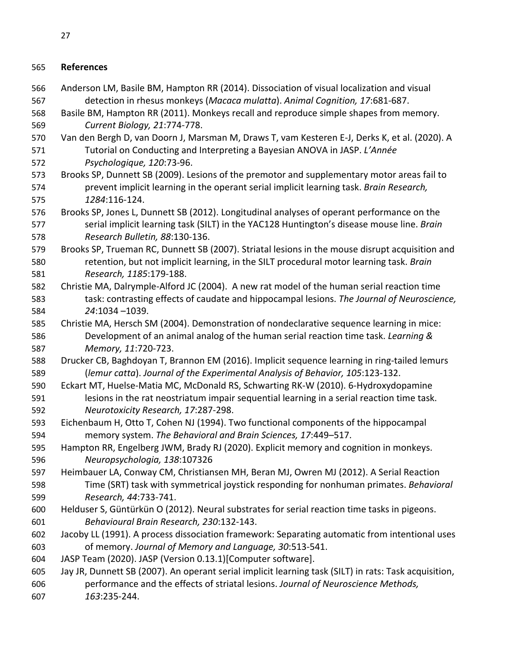# **References**

 Anderson LM, Basile BM, Hampton RR (2014). Dissociation of visual localization and visual detection in rhesus monkeys (*Macaca mulatta*). *Animal Cognition, 17*:681-687. Basile BM, Hampton RR (2011). Monkeys recall and reproduce simple shapes from memory. *Current Biology, 21*:774-778. Van den Bergh D, van Doorn J, Marsman M, Draws T, vam Kesteren E-J, Derks K, et al. (2020). A Tutorial on Conducting and Interpreting a Bayesian ANOVA in JASP. *L'Année Psychologique, 120*:73-96. Brooks SP, Dunnett SB (2009). Lesions of the premotor and supplementary motor areas fail to prevent implicit learning in the operant serial implicit learning task. *Brain Research, 1284*:116-124. Brooks SP, Jones L, Dunnett SB (2012). Longitudinal analyses of operant performance on the serial implicit learning task (SILT) in the YAC128 Huntington's disease mouse line. *Brain Research Bulletin, 88*:130-136. Brooks SP, Trueman RC, Dunnett SB (2007). Striatal lesions in the mouse disrupt acquisition and retention, but not implicit learning, in the SILT procedural motor learning task. *Brain Research, 1185*:179-188. Christie MA, Dalrymple-Alford JC (2004). A new rat model of the human serial reaction time task: contrasting effects of caudate and hippocampal lesions. *The Journal of Neuroscience, 24*:1034 –1039. Christie MA, Hersch SM (2004). Demonstration of nondeclarative sequence learning in mice: Development of an animal analog of the human serial reaction time task. *Learning & Memory, 11*:720-723. Drucker CB, Baghdoyan T, Brannon EM (2016). Implicit sequence learning in ring-tailed lemurs (*lemur catta*). *Journal of the Experimental Analysis of Behavior, 105*:123-132. Eckart MT, Huelse-Matia MC, McDonald RS, Schwarting RK-W (2010). 6-Hydroxydopamine lesions in the rat neostriatum impair sequential learning in a serial reaction time task. *Neurotoxicity Research, 17*:287-298. Eichenbaum H, Otto T, Cohen NJ (1994). Two functional components of the hippocampal memory system. *The Behavioral and Brain Sciences, 17*:449–517. Hampton RR, Engelberg JWM, Brady RJ (2020). Explicit memory and cognition in monkeys. *Neuropsychologia, 138*:107326 Heimbauer LA, Conway CM, Christiansen MH, Beran MJ, Owren MJ (2012). A Serial Reaction Time (SRT) task with symmetrical joystick responding for nonhuman primates. *Behavioral Research, 44*:733-741. Helduser S, Güntürkün O (2012). Neural substrates for serial reaction time tasks in pigeons. *Behavioural Brain Research, 230*:132-143. Jacoby LL (1991). A process dissociation framework: Separating automatic from intentional uses of memory. *Journal of Memory and Language, 30*:513-541. JASP Team (2020). JASP (Version 0.13.1)[Computer software]. Jay JR, Dunnett SB (2007). An operant serial implicit learning task (SILT) in rats: Task acquisition, performance and the effects of striatal lesions. *Journal of Neuroscience Methods, 163*:235-244.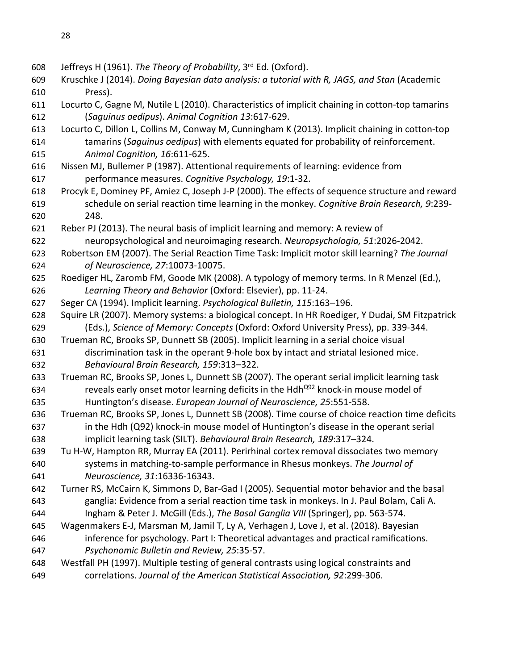- 608 Jeffreys H (1961). *The Theory of Probability*, 3<sup>rd</sup> Ed. (Oxford).
- Kruschke J (2014). *Doing Bayesian data analysis: a tutorial with R, JAGS, and Stan* (Academic Press).
- Locurto C, Gagne M, Nutile L (2010). Characteristics of implicit chaining in cotton-top tamarins (*Saguinus oedipus*). *Animal Cognition 13*:617-629.
- Locurto C, Dillon L, Collins M, Conway M, Cunningham K (2013). Implicit chaining in cotton-top tamarins (*Saguinus oedipus*) with elements equated for probability of reinforcement. *Animal Cognition, 16*:611-625.
- Nissen MJ, Bullemer P (1987). Attentional requirements of learning: evidence from performance measures. *Cognitive Psychology, 19*:1-32.
- Procyk E, Dominey PF, Amiez C, Joseph J-P (2000). The effects of sequence structure and reward schedule on serial reaction time learning in the monkey. *Cognitive Brain Research, 9*:239- 248.
- Reber PJ (2013). The neural basis of implicit learning and memory: A review of
- neuropsychological and neuroimaging research. *Neuropsychologia, 51*:2026-2042.
- Robertson EM (2007). The Serial Reaction Time Task: Implicit motor skill learning? *The Journal of Neuroscience, 27*:10073-10075.
- Roediger HL, Zaromb FM, Goode MK (2008). A typology of memory terms. In R Menzel (Ed.), *Learning Theory and Behavior* (Oxford: Elsevier), pp. 11-24.
- Seger CA (1994). Implicit learning. *Psychological Bulletin, 115*:163–196.
- Squire LR (2007). Memory systems: a biological concept. In HR Roediger, Y Dudai, SM Fitzpatrick (Eds.), *Science of Memory: Concepts* (Oxford: Oxford University Press), pp. 339-344.
- Trueman RC, Brooks SP, Dunnett SB (2005). Implicit learning in a serial choice visual discrimination task in the operant 9-hole box by intact and striatal lesioned mice.
- *Behavioural Brain Research, 159*:313–322.
- Trueman RC, Brooks SP, Jones L, Dunnett SB (2007). The operant serial implicit learning task 634 reveals early onset motor learning deficits in the Hdh<sup>Q92</sup> knock-in mouse model of Huntington's disease. *European Journal of Neuroscience, 25*:551-558.
- Trueman RC, Brooks SP, Jones L, Dunnett SB (2008). Time course of choice reaction time deficits in the Hdh (Q92) knock-in mouse model of Huntington's disease in the operant serial
- implicit learning task (SILT). *Behavioural Brain Research, 189*:317–324.
- Tu H-W, Hampton RR, Murray EA (2011). Perirhinal cortex removal dissociates two memory systems in matching-to-sample performance in Rhesus monkeys. *The Journal of Neuroscience, 31*:16336-16343.
- Turner RS, McCairn K, Simmons D, Bar-Gad I (2005). Sequential motor behavior and the basal ganglia: Evidence from a serial reaction time task in monkeys. In J. Paul Bolam, Cali A.
- Ingham & Peter J. McGill (Eds.), *The Basal Ganglia VIII* (Springer), pp. 563-574.
- Wagenmakers E-J, Marsman M, Jamil T, Ly A, Verhagen J, Love J, et al. (2018). Bayesian inference for psychology. Part I: Theoretical advantages and practical ramifications.
- *Psychonomic Bulletin and Review, 25*:35-57.
- Westfall PH (1997). Multiple testing of general contrasts using logical constraints and correlations. *Journal of the American Statistical Association, 92*:299-306.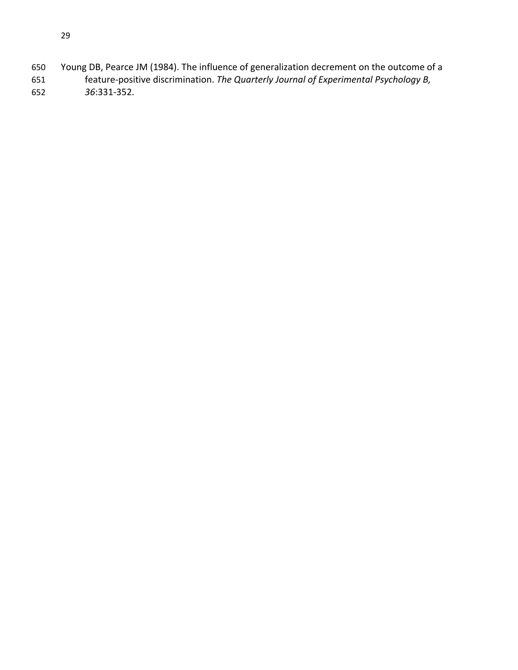- Young DB, Pearce JM (1984). The influence of generalization decrement on the outcome of a feature-positive discrimination. *The Quarterly Journal of Experimental Psychology B,*
- *36*:331-352.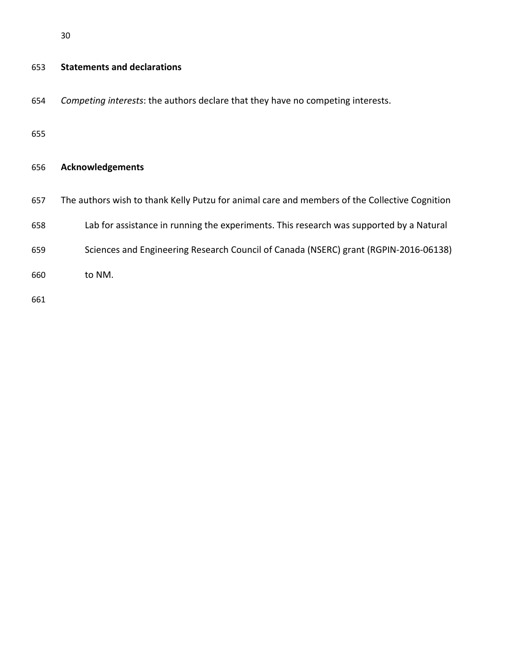| 653 | <b>Statements and declarations</b>                                                            |
|-----|-----------------------------------------------------------------------------------------------|
| 654 | Competing interests: the authors declare that they have no competing interests.               |
| 655 |                                                                                               |
| 656 | <b>Acknowledgements</b>                                                                       |
| 657 | The authors wish to thank Kelly Putzu for animal care and members of the Collective Cognition |
| 658 | Lab for assistance in running the experiments. This research was supported by a Natural       |
| 659 | Sciences and Engineering Research Council of Canada (NSERC) grant (RGPIN-2016-06138)          |
| 660 | to NM.                                                                                        |
| 661 |                                                                                               |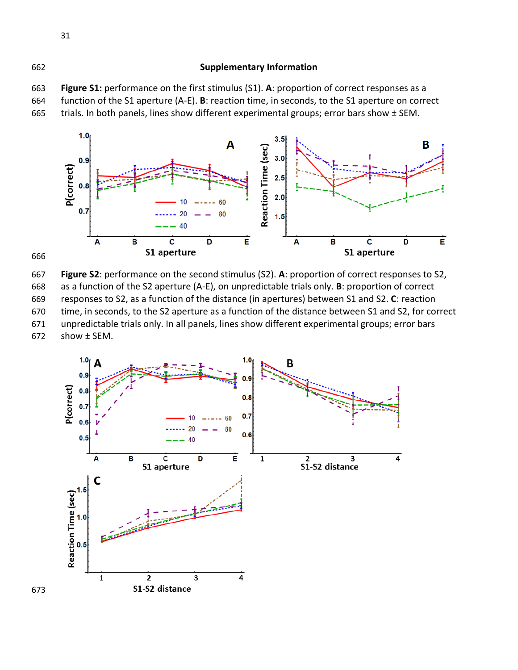### **Supplementary Information**

 **Figure S1:** performance on the first stimulus (S1). **A**: proportion of correct responses as a function of the S1 aperture (A-E). **B**: reaction time, in seconds, to the S1 aperture on correct 665 trials. In both panels, lines show different experimental groups; error bars show ± SEM.





 **Figure S2**: performance on the second stimulus (S2). **A**: proportion of correct responses to S2, as a function of the S2 aperture (A-E), on unpredictable trials only. **B**: proportion of correct responses to S2, as a function of the distance (in apertures) between S1 and S2. **C**: reaction time, in seconds, to the S2 aperture as a function of the distance between S1 and S2, for correct unpredictable trials only. In all panels, lines show different experimental groups; error bars show ± SEM.